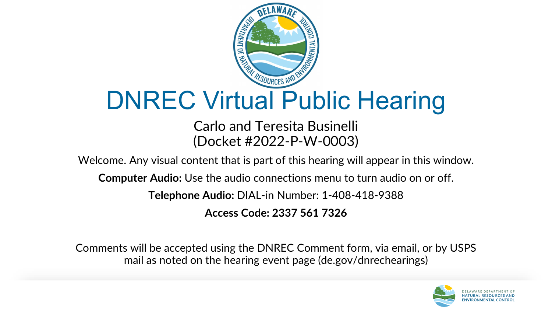

#### DNREC Virtual Public Hearing

Carlo and Teresita Businelli (Docket #2022-P-W-0003)

Welcome. Any visual content that is part of this hearing will appear in this window.

**Computer Audio:** Use the audio connections menu to turn audio on or off.

**Telephone Audio:** DIAL-in Number: 1-408-418-9388

**Access Code: 2337 561 7326**

Comments will be accepted using the DNREC Comment form, via email, or by USPS mail as noted on the hearing event page (de.gov/dnrechearings)

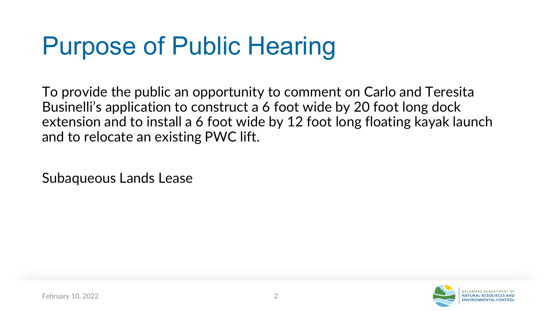## Purpose of Public Hearing

To provide the public an opportunity to comment on Carlo and Teresita Businelli's application to construct a 6 foot wide by 20 foot long dock extension and to install a 6 foot wide by 12 foot long floating kayak launch and to relocate an existing PWC lift.

Subaqueous Lands Lease

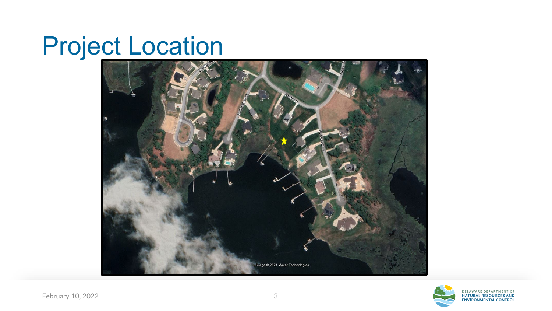## Project Location



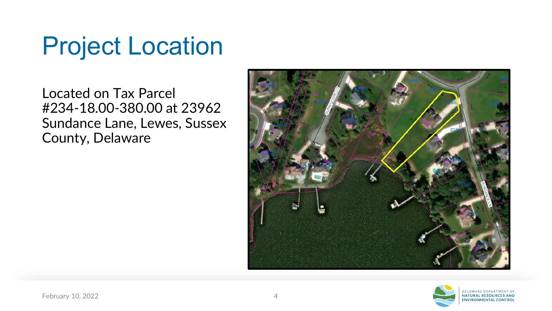## Project Location

Located on Tax Parcel #234-18.00-380.00 at 23962 Sundance Lane, Lewes, Sussex County, Delaware



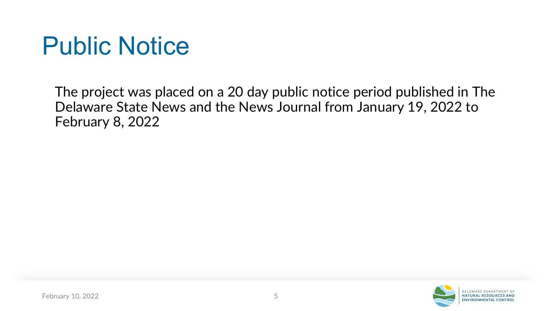### Public Notice

The project was placed on a 20 day public notice period published in The Delaware State News and the News Journal from January 19, 2022 to February 8, 2022

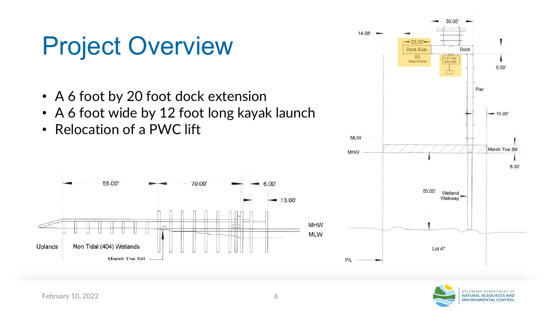## Project Overview

- A 6 foot by 20 foot dock extension
- A 6 foot wide by 12 foot long kayak launch
- Relocation of a PWC lift





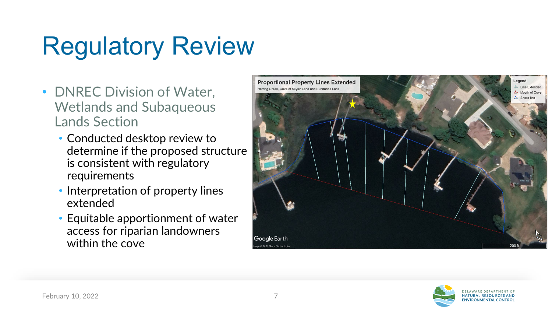# Regulatory Review

- DNREC Division of Water, Wetlands and Subaqueous Lands Section
	- Conducted desktop review to determine if the proposed structure is consistent with regulatory requirements
	- Interpretation of property lines extended
	- Equitable apportionment of water access for riparian landowners within the cove



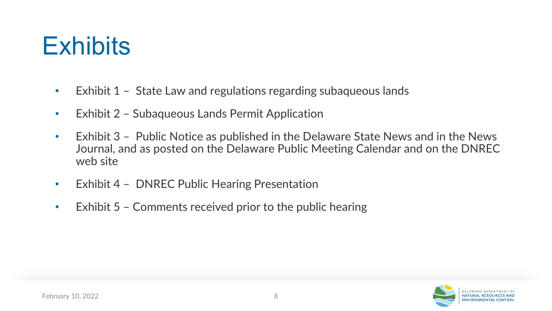

- Exhibit 1 State Law and regulations regarding subaqueous lands
- Exhibit 2 Subaqueous Lands Permit Application
- Exhibit 3 Public Notice as published in the Delaware State News and in the News Journal, and as posted on the Delaware Public Meeting Calendar and on the DNREC web site
- Exhibit 4 DNREC Public Hearing Presentation
- Exhibit 5 Comments received prior to the public hearing